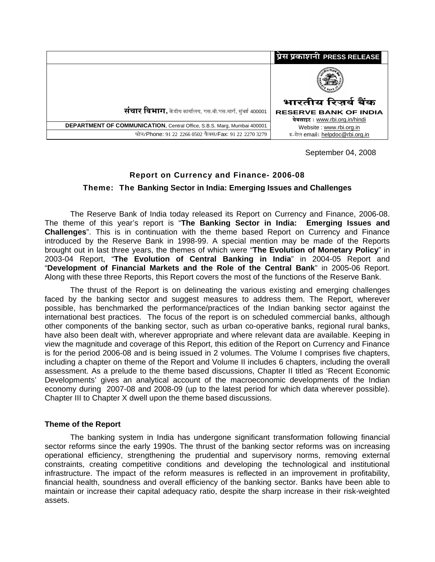|                                                                         | प्रेस प्रकाशनी PRESS RELEASE                                  |
|-------------------------------------------------------------------------|---------------------------------------------------------------|
|                                                                         |                                                               |
|                                                                         | भारतीय रिज़र्व बैंक                                           |
| <b>संचार विभाग,</b> केंद्रीय कार्यालय, एस.बी.एस.मार्ग, मुंबई 400001     | <b>RESERVE BANK OF INDIA</b><br>वेबसाइट: www.rbi.org.in/hindi |
| DEPARTMENT OF COMMUNICATION, Central Office, S.B.S. Marg, Mumbai 400001 | Website: www.rbi.org.in                                       |
| फोन/Phone: 91 22 2266 0502 फैक्स/Fax: 91 22 2270 3279                   | इ-मेल email: helpdoc@rbi.org.in                               |

September 04, 2008

# **Report on Currency and Finance- 2006-08**

**Theme: The Banking Sector in India: Emerging Issues and Challenges** 

The Reserve Bank of India today released its Report on Currency and Finance, 2006-08. The theme of this year's report is "**The Banking Sector in India: Emerging Issues and Challenges**". This is in continuation with the theme based Report on Currency and Finance introduced by the Reserve Bank in 1998-99. A special mention may be made of the Reports brought out in last three years, the themes of which were "**The Evolution of Monetary Policy**" in 2003-04 Report, "**The Evolution of Central Banking in India**" in 2004-05 Report and "**Development of Financial Markets and the Role of the Central Bank**" in 2005-06 Report. Along with these three Reports, this Report covers the most of the functions of the Reserve Bank.

The thrust of the Report is on delineating the various existing and emerging challenges faced by the banking sector and suggest measures to address them. The Report, wherever possible, has benchmarked the performance/practices of the Indian banking sector against the international best practices. The focus of the report is on scheduled commercial banks, although other components of the banking sector, such as urban co-operative banks, regional rural banks, have also been dealt with, wherever appropriate and where relevant data are available. Keeping in view the magnitude and coverage of this Report, this edition of the Report on Currency and Finance is for the period 2006-08 and is being issued in 2 volumes. The Volume I comprises five chapters, including a chapter on theme of the Report and Volume II includes 6 chapters, including the overall assessment. As a prelude to the theme based discussions, Chapter II titled as 'Recent Economic Developments' gives an analytical account of the macroeconomic developments of the Indian economy during 2007-08 and 2008-09 (up to the latest period for which data wherever possible). Chapter III to Chapter X dwell upon the theme based discussions.

# **Theme of the Report**

The banking system in India has undergone significant transformation following financial sector reforms since the early 1990s. The thrust of the banking sector reforms was on increasing operational efficiency, strengthening the prudential and supervisory norms, removing external constraints, creating competitive conditions and developing the technological and institutional infrastructure. The impact of the reform measures is reflected in an improvement in profitability, financial health, soundness and overall efficiency of the banking sector. Banks have been able to maintain or increase their capital adequacy ratio, despite the sharp increase in their risk-weighted assets.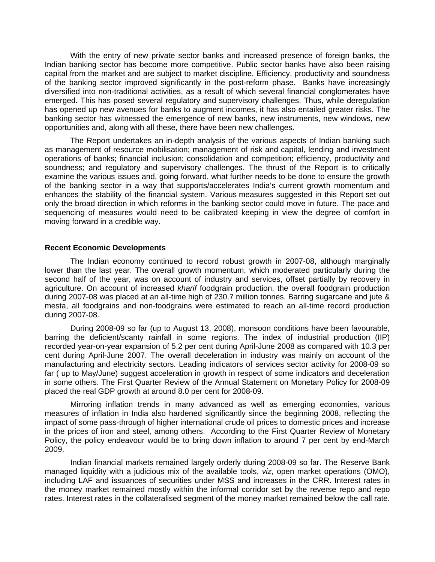With the entry of new private sector banks and increased presence of foreign banks, the Indian banking sector has become more competitive. Public sector banks have also been raising capital from the market and are subject to market discipline. Efficiency, productivity and soundness of the banking sector improved significantly in the post-reform phase. Banks have increasingly diversified into non-traditional activities, as a result of which several financial conglomerates have emerged. This has posed several regulatory and supervisory challenges. Thus, while deregulation has opened up new avenues for banks to augment incomes, it has also entailed greater risks. The banking sector has witnessed the emergence of new banks, new instruments, new windows, new opportunities and, along with all these, there have been new challenges.

The Report undertakes an in-depth analysis of the various aspects of Indian banking such as management of resource mobilisation; management of risk and capital, lending and investment operations of banks; financial inclusion; consolidation and competition; efficiency, productivity and soundness; and regulatory and supervisory challenges. The thrust of the Report is to critically examine the various issues and, going forward, what further needs to be done to ensure the growth of the banking sector in a way that supports/accelerates India's current growth momentum and enhances the stability of the financial system. Various measures suggested in this Report set out only the broad direction in which reforms in the banking sector could move in future. The pace and sequencing of measures would need to be calibrated keeping in view the degree of comfort in moving forward in a credible way.

### **Recent Economic Developments**

The Indian economy continued to record robust growth in 2007-08, although marginally lower than the last year. The overall growth momentum, which moderated particularly during the second half of the year, was on account of industry and services, offset partially by recovery in agriculture. On account of increased *kharif* foodgrain production, the overall foodgrain production during 2007-08 was placed at an all-time high of 230.7 million tonnes. Barring sugarcane and jute & mesta, all foodgrains and non-foodgrains were estimated to reach an all-time record production during 2007-08.

During 2008-09 so far (up to August 13, 2008), monsoon conditions have been favourable, barring the deficient/scanty rainfall in some regions. The index of industrial production (IIP) recorded year-on-year expansion of 5.2 per cent during April-June 2008 as compared with 10.3 per cent during April-June 2007. The overall deceleration in industry was mainly on account of the manufacturing and electricity sectors. Leading indicators of services sector activity for 2008-09 so far ( up to May/June) suggest acceleration in growth in respect of some indicators and deceleration in some others. The First Quarter Review of the Annual Statement on Monetary Policy for 2008-09 placed the real GDP growth at around 8.0 per cent for 2008-09.

Mirroring inflation trends in many advanced as well as emerging economies, various measures of inflation in India also hardened significantly since the beginning 2008, reflecting the impact of some pass-through of higher international crude oil prices to domestic prices and increase in the prices of iron and steel, among others. According to the First Quarter Review of Monetary Policy, the policy endeavour would be to bring down inflation to around 7 per cent by end-March 2009.

Indian financial markets remained largely orderly during 2008-09 so far. The Reserve Bank managed liquidity with a judicious mix of the available tools, *viz,* open market operations (OMO), including LAF and issuances of securities under MSS and increases in the CRR. Interest rates in the money market remained mostly within the informal corridor set by the reverse repo and repo rates. Interest rates in the collateralised segment of the money market remained below the call rate.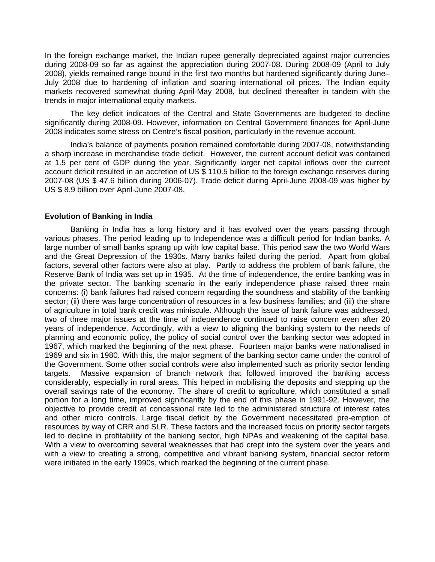In the foreign exchange market, the Indian rupee generally depreciated against major currencies during 2008-09 so far as against the appreciation during 2007-08. During 2008-09 (April to July 2008), yields remained range bound in the first two months but hardened significantly during June– July 2008 due to hardening of inflation and soaring international oil prices. The Indian equity markets recovered somewhat during April-May 2008, but declined thereafter in tandem with the trends in major international equity markets.

The key deficit indicators of the Central and State Governments are budgeted to decline significantly during 2008-09. However, information on Central Government finances for April-June 2008 indicates some stress on Centre's fiscal position, particularly in the revenue account.

India's balance of payments position remained comfortable during 2007-08, notwithstanding a sharp increase in merchandise trade deficit. However, the current account deficit was contained at 1.5 per cent of GDP during the year. Significantly larger net capital inflows over the current account deficit resulted in an accretion of US \$ 110.5 billion to the foreign exchange reserves during 2007-08 (US \$ 47.6 billion during 2006-07). Trade deficit during April-June 2008-09 was higher by US \$ 8.9 billion over April-June 2007-08.

### **Evolution of Banking in India**

Banking in India has a long history and it has evolved over the years passing through various phases. The period leading up to Independence was a difficult period for Indian banks. A large number of small banks sprang up with low capital base. This period saw the two World Wars and the Great Depression of the 1930s. Many banks failed during the period. Apart from global factors, several other factors were also at play. Partly to address the problem of bank failure, the Reserve Bank of India was set up in 1935. At the time of independence, the entire banking was in the private sector. The banking scenario in the early independence phase raised three main concerns: (i) bank failures had raised concern regarding the soundness and stability of the banking sector; (ii) there was large concentration of resources in a few business families; and (iii) the share of agriculture in total bank credit was miniscule. Although the issue of bank failure was addressed, two of three major issues at the time of independence continued to raise concern even after 20 years of independence. Accordingly, with a view to aligning the banking system to the needs of planning and economic policy, the policy of social control over the banking sector was adopted in 1967, which marked the beginning of the next phase. Fourteen major banks were nationalised in 1969 and six in 1980. With this, the major segment of the banking sector came under the control of the Government. Some other social controls were also implemented such as priority sector lending targets. Massive expansion of branch network that followed improved the banking access considerably, especially in rural areas. This helped in mobilising the deposits and stepping up the overall savings rate of the economy. The share of credit to agriculture, which constituted a small portion for a long time, improved significantly by the end of this phase in 1991-92. However, the objective to provide credit at concessional rate led to the administered structure of interest rates and other micro controls. Large fiscal deficit by the Government necessitated pre-emption of resources by way of CRR and SLR. These factors and the increased focus on priority sector targets led to decline in profitability of the banking sector, high NPAs and weakening of the capital base. With a view to overcoming several weaknesses that had crept into the system over the years and with a view to creating a strong, competitive and vibrant banking system, financial sector reform were initiated in the early 1990s, which marked the beginning of the current phase.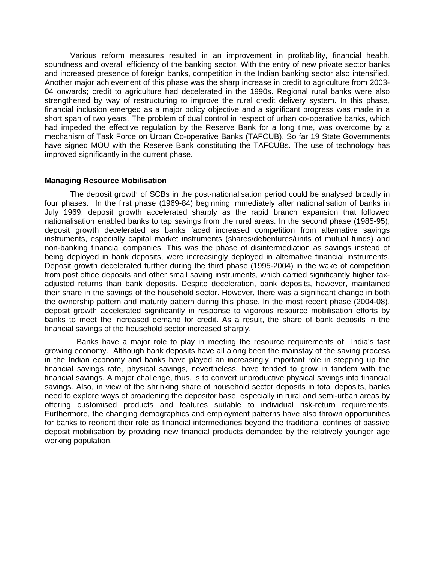Various reform measures resulted in an improvement in profitability, financial health, soundness and overall efficiency of the banking sector. With the entry of new private sector banks and increased presence of foreign banks, competition in the Indian banking sector also intensified. Another major achievement of this phase was the sharp increase in credit to agriculture from 2003- 04 onwards; credit to agriculture had decelerated in the 1990s. Regional rural banks were also strengthened by way of restructuring to improve the rural credit delivery system. In this phase, financial inclusion emerged as a major policy objective and a significant progress was made in a short span of two years. The problem of dual control in respect of urban co-operative banks, which had impeded the effective regulation by the Reserve Bank for a long time, was overcome by a mechanism of Task Force on Urban Co-operative Banks (TAFCUB). So far 19 State Governments have signed MOU with the Reserve Bank constituting the TAFCUBs. The use of technology has improved significantly in the current phase.

# **Managing Resource Mobilisation**

 The deposit growth of SCBs in the post-nationalisation period could be analysed broadly in four phases. In the first phase (1969-84) beginning immediately after nationalisation of banks in July 1969, deposit growth accelerated sharply as the rapid branch expansion that followed nationalisation enabled banks to tap savings from the rural areas. In the second phase (1985-95), deposit growth decelerated as banks faced increased competition from alternative savings instruments, especially capital market instruments (shares/debentures/units of mutual funds) and non-banking financial companies. This was the phase of disintermediation as savings instead of being deployed in bank deposits, were increasingly deployed in alternative financial instruments. Deposit growth decelerated further during the third phase (1995-2004) in the wake of competition from post office deposits and other small saving instruments, which carried significantly higher taxadjusted returns than bank deposits. Despite deceleration, bank deposits, however, maintained their share in the savings of the household sector. However, there was a significant change in both the ownership pattern and maturity pattern during this phase. In the most recent phase (2004-08), deposit growth accelerated significantly in response to vigorous resource mobilisation efforts by banks to meet the increased demand for credit. As a result, the share of bank deposits in the financial savings of the household sector increased sharply.

 Banks have a major role to play in meeting the resource requirements of India's fast growing economy. Although bank deposits have all along been the mainstay of the saving process in the Indian economy and banks have played an increasingly important role in stepping up the financial savings rate, physical savings, nevertheless, have tended to grow in tandem with the financial savings. A major challenge, thus, is to convert unproductive physical savings into financial savings. Also, in view of the shrinking share of household sector deposits in total deposits, banks need to explore ways of broadening the depositor base, especially in rural and semi-urban areas by offering customised products and features suitable to individual risk-return requirements. Furthermore, the changing demographics and employment patterns have also thrown opportunities for banks to reorient their role as financial intermediaries beyond the traditional confines of passive deposit mobilisation by providing new financial products demanded by the relatively younger age working population.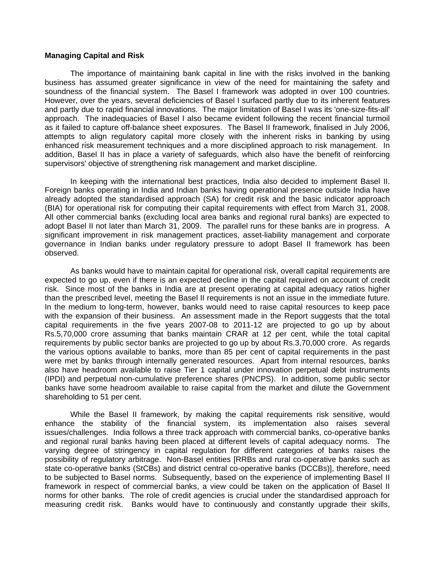### **Managing Capital and Risk**

The importance of maintaining bank capital in line with the risks involved in the banking business has assumed greater significance in view of the need for maintaining the safety and soundness of the financial system. The Basel I framework was adopted in over 100 countries. However, over the years, several deficiencies of Basel I surfaced partly due to its inherent features and partly due to rapid financial innovations. The major limitation of Basel I was its 'one-size-fits-all' approach. The inadequacies of Basel I also became evident following the recent financial turmoil as it failed to capture off-balance sheet exposures. The Basel II framework, finalised in July 2006, attempts to align regulatory capital more closely with the inherent risks in banking by using enhanced risk measurement techniques and a more disciplined approach to risk management. In addition, Basel II has in place a variety of safeguards, which also have the benefit of reinforcing supervisors' objective of strengthening risk management and market discipline.

In keeping with the international best practices, India also decided to implement Basel II. Foreign banks operating in India and Indian banks having operational presence outside India have already adopted the standardised approach (SA) for credit risk and the basic indicator approach (BIA) for operational risk for computing their capital requirements with effect from March 31, 2008. All other commercial banks (excluding local area banks and regional rural banks) are expected to adopt Basel II not later than March 31, 2009. The parallel runs for these banks are in progress. A significant improvement in risk management practices, asset-liability management and corporate governance in Indian banks under regulatory pressure to adopt Basel II framework has been observed.

 As banks would have to maintain capital for operational risk, overall capital requirements are expected to go up, even if there is an expected decline in the capital required on account of credit risk. Since most of the banks in India are at present operating at capital adequacy ratios higher than the prescribed level, meeting the Basel II requirements is not an issue in the immediate future. In the medium to long-term, however, banks would need to raise capital resources to keep pace with the expansion of their business. An assessment made in the Report suggests that the total capital requirements in the five years 2007-08 to 2011-12 are projected to go up by about Rs.5,70,000 crore assuming that banks maintain CRAR at 12 per cent, while the total capital requirements by public sector banks are projected to go up by about Rs.3,70,000 crore. As regards the various options available to banks, more than 85 per cent of capital requirements in the past were met by banks through internally generated resources. Apart from internal resources, banks also have headroom available to raise Tier 1 capital under innovation perpetual debt instruments (IPDI) and perpetual non-cumulative preference shares (PNCPS). In addition, some public sector banks have some headroom available to raise capital from the market and dilute the Government shareholding to 51 per cent.

While the Basel II framework, by making the capital requirements risk sensitive, would enhance the stability of the financial system, its implementation also raises several issues/challenges. India follows a three track approach with commercial banks, co-operative banks and regional rural banks having been placed at different levels of capital adequacy norms. The varying degree of stringency in capital regulation for different categories of banks raises the possibility of regulatory arbitrage. Non-Basel entities [RRBs and rural co-operative banks such as state co-operative banks (StCBs) and district central co-operative banks (DCCBs)], therefore, need to be subjected to Basel norms. Subsequently, based on the experience of implementing Basel II framework in respect of commercial banks, a view could be taken on the application of Basel II norms for other banks. The role of credit agencies is crucial under the standardised approach for measuring credit risk. Banks would have to continuously and constantly upgrade their skills,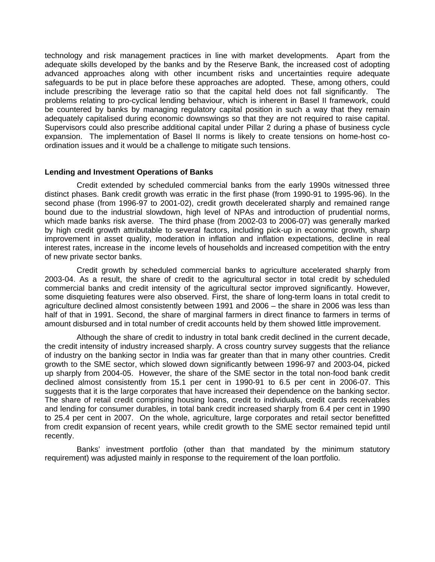technology and risk management practices in line with market developments. Apart from the adequate skills developed by the banks and by the Reserve Bank, the increased cost of adopting advanced approaches along with other incumbent risks and uncertainties require adequate safeguards to be put in place before these approaches are adopted. These, among others, could include prescribing the leverage ratio so that the capital held does not fall significantly. The problems relating to pro-cyclical lending behaviour, which is inherent in Basel II framework, could be countered by banks by managing regulatory capital position in such a way that they remain adequately capitalised during economic downswings so that they are not required to raise capital. Supervisors could also prescribe additional capital under Pillar 2 during a phase of business cycle expansion. The implementation of Basel II norms is likely to create tensions on home-host coordination issues and it would be a challenge to mitigate such tensions.

# **Lending and Investment Operations of Banks**

 Credit extended by scheduled commercial banks from the early 1990s witnessed three distinct phases. Bank credit growth was erratic in the first phase (from 1990-91 to 1995-96). In the second phase (from 1996-97 to 2001-02), credit growth decelerated sharply and remained range bound due to the industrial slowdown, high level of NPAs and introduction of prudential norms, which made banks risk averse. The third phase (from 2002-03 to 2006-07) was generally marked by high credit growth attributable to several factors, including pick-up in economic growth, sharp improvement in asset quality, moderation in inflation and inflation expectations, decline in real interest rates, increase in the income levels of households and increased competition with the entry of new private sector banks.

 Credit growth by scheduled commercial banks to agriculture accelerated sharply from 2003-04. As a result, the share of credit to the agricultural sector in total credit by scheduled commercial banks and credit intensity of the agricultural sector improved significantly. However, some disquieting features were also observed. First, the share of long-term loans in total credit to agriculture declined almost consistently between 1991 and 2006 – the share in 2006 was less than half of that in 1991. Second, the share of marginal farmers in direct finance to farmers in terms of amount disbursed and in total number of credit accounts held by them showed little improvement.

 Although the share of credit to industry in total bank credit declined in the current decade, the credit intensity of industry increased sharply. A cross country survey suggests that the reliance of industry on the banking sector in India was far greater than that in many other countries. Credit growth to the SME sector, which slowed down significantly between 1996-97 and 2003-04, picked up sharply from 2004-05. However, the share of the SME sector in the total non-food bank credit declined almost consistently from 15.1 per cent in 1990-91 to 6.5 per cent in 2006-07. This suggests that it is the large corporates that have increased their dependence on the banking sector. The share of retail credit comprising housing loans, credit to individuals, credit cards receivables and lending for consumer durables, in total bank credit increased sharply from 6.4 per cent in 1990 to 25.4 per cent in 2007. On the whole, agriculture, large corporates and retail sector benefitted from credit expansion of recent years, while credit growth to the SME sector remained tepid until recently.

 Banks' investment portfolio (other than that mandated by the minimum statutory requirement) was adjusted mainly in response to the requirement of the loan portfolio.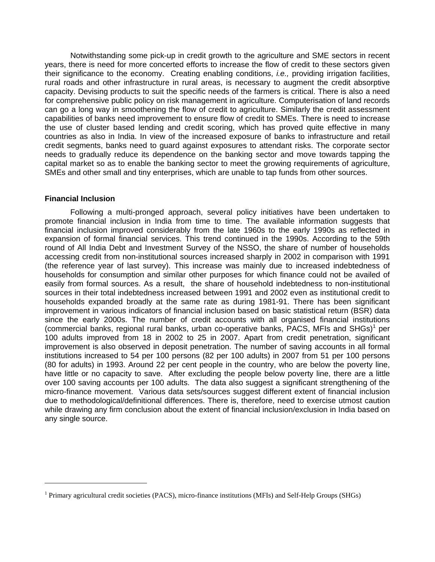Notwithstanding some pick-up in credit growth to the agriculture and SME sectors in recent years, there is need for more concerted efforts to increase the flow of credit to these sectors given their significance to the economy. Creating enabling conditions, *i.e.,* providing irrigation facilities, rural roads and other infrastructure in rural areas, is necessary to augment the credit absorptive capacity. Devising products to suit the specific needs of the farmers is critical. There is also a need for comprehensive public policy on risk management in agriculture. Computerisation of land records can go a long way in smoothening the flow of credit to agriculture. Similarly the credit assessment capabilities of banks need improvement to ensure flow of credit to SMEs. There is need to increase the use of cluster based lending and credit scoring, which has proved quite effective in many countries as also in India. In view of the increased exposure of banks to infrastructure and retail credit segments, banks need to guard against exposures to attendant risks. The corporate sector needs to gradually reduce its dependence on the banking sector and move towards tapping the capital market so as to enable the banking sector to meet the growing requirements of agriculture, SMEs and other small and tiny enterprises, which are unable to tap funds from other sources.

# **Financial Inclusion**

 $\overline{a}$ 

Following a multi-pronged approach, several policy initiatives have been undertaken to promote financial inclusion in India from time to time. The available information suggests that financial inclusion improved considerably from the late 1960s to the early 1990s as reflected in expansion of formal financial services. This trend continued in the 1990s. According to the 59th round of All India Debt and Investment Survey of the NSSO, the share of number of households accessing credit from non-institutional sources increased sharply in 2002 in comparison with 1991 (the reference year of last survey). This increase was mainly due to increased indebtedness of households for consumption and similar other purposes for which finance could not be availed of easily from formal sources. As a result, the share of household indebtedness to non-institutional sources in their total indebtedness increased between 1991 and 2002 even as institutional credit to households expanded broadly at the same rate as during 1981-91. There has been significant improvement in various indicators of financial inclusion based on basic statistical return (BSR) data since the early 2000s. The number of credit accounts with all organised financial institutions (commercial banks, regional rural banks, urban co-operative banks, PACS, MFIs and SHGs)<sup>1</sup> per 100 adults improved from 18 in 2002 to 25 in 2007. Apart from credit penetration, significant improvement is also observed in deposit penetration. The number of saving accounts in all formal institutions increased to 54 per 100 persons (82 per 100 adults) in 2007 from 51 per 100 persons (80 for adults) in 1993. Around 22 per cent people in the country, who are below the poverty line, have little or no capacity to save. After excluding the people below poverty line, there are a little over 100 saving accounts per 100 adults. The data also suggest a significant strengthening of the micro-finance movement. Various data sets/sources suggest different extent of financial inclusion due to methodological/definitional differences. There is, therefore, need to exercise utmost caution while drawing any firm conclusion about the extent of financial inclusion/exclusion in India based on any single source.

<sup>&</sup>lt;sup>1</sup> Primary agricultural credit societies (PACS), micro-finance institutions (MFIs) and Self-Help Groups (SHGs)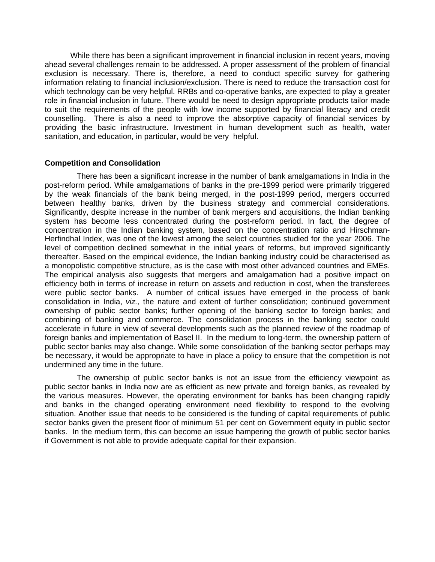While there has been a significant improvement in financial inclusion in recent years, moving ahead several challenges remain to be addressed. A proper assessment of the problem of financial exclusion is necessary. There is, therefore, a need to conduct specific survey for gathering information relating to financial inclusion/exclusion. There is need to reduce the transaction cost for which technology can be very helpful. RRBs and co-operative banks, are expected to play a greater role in financial inclusion in future. There would be need to design appropriate products tailor made to suit the requirements of the people with low income supported by financial literacy and credit counselling. There is also a need to improve the absorptive capacity of financial services by providing the basic infrastructure. Investment in human development such as health, water sanitation, and education, in particular, would be very helpful.

# **Competition and Consolidation**

 There has been a significant increase in the number of bank amalgamations in India in the post-reform period. While amalgamations of banks in the pre-1999 period were primarily triggered by the weak financials of the bank being merged, in the post-1999 period, mergers occurred between healthy banks, driven by the business strategy and commercial considerations. Significantly, despite increase in the number of bank mergers and acquisitions, the Indian banking system has become less concentrated during the post-reform period. In fact, the degree of concentration in the Indian banking system, based on the concentration ratio and Hirschman-Herfindhal Index, was one of the lowest among the select countries studied for the year 2006. The level of competition declined somewhat in the initial years of reforms, but improved significantly thereafter. Based on the empirical evidence, the Indian banking industry could be characterised as a monopolistic competitive structure, as is the case with most other advanced countries and EMEs. The empirical analysis also suggests that mergers and amalgamation had a positive impact on efficiency both in terms of increase in return on assets and reduction in cost, when the transferees were public sector banks. A number of critical issues have emerged in the process of bank consolidation in India, *viz.,* the nature and extent of further consolidation; continued government ownership of public sector banks; further opening of the banking sector to foreign banks; and combining of banking and commerce. The consolidation process in the banking sector could accelerate in future in view of several developments such as the planned review of the roadmap of foreign banks and implementation of Basel II. In the medium to long-term, the ownership pattern of public sector banks may also change. While some consolidation of the banking sector perhaps may be necessary, it would be appropriate to have in place a policy to ensure that the competition is not undermined any time in the future.

 The ownership of public sector banks is not an issue from the efficiency viewpoint as public sector banks in India now are as efficient as new private and foreign banks, as revealed by the various measures. However, the operating environment for banks has been changing rapidly and banks in the changed operating environment need flexibility to respond to the evolving situation. Another issue that needs to be considered is the funding of capital requirements of public sector banks given the present floor of minimum 51 per cent on Government equity in public sector banks. In the medium term, this can become an issue hampering the growth of public sector banks if Government is not able to provide adequate capital for their expansion.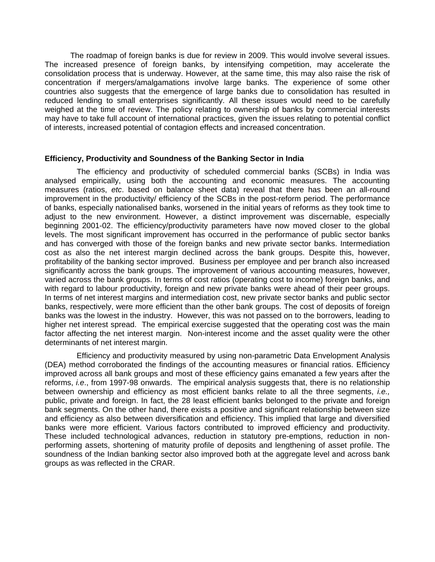The roadmap of foreign banks is due for review in 2009. This would involve several issues. The increased presence of foreign banks, by intensifying competition, may accelerate the consolidation process that is underway. However, at the same time, this may also raise the risk of concentration if mergers/amalgamations involve large banks. The experience of some other countries also suggests that the emergence of large banks due to consolidation has resulted in reduced lending to small enterprises significantly. All these issues would need to be carefully weighed at the time of review. The policy relating to ownership of banks by commercial interests may have to take full account of international practices, given the issues relating to potential conflict of interests, increased potential of contagion effects and increased concentration.

# **Efficiency, Productivity and Soundness of the Banking Sector in India**

 The efficiency and productivity of scheduled commercial banks (SCBs) in India was analysed empirically, using both the accounting and economic measures. The accounting measures (ratios, *etc*. based on balance sheet data) reveal that there has been an all-round improvement in the productivity/ efficiency of the SCBs in the post-reform period. The performance of banks, especially nationalised banks, worsened in the initial years of reforms as they took time to adjust to the new environment. However, a distinct improvement was discernable, especially beginning 2001-02. The efficiency/productivity parameters have now moved closer to the global levels. The most significant improvement has occurred in the performance of public sector banks and has converged with those of the foreign banks and new private sector banks. Intermediation cost as also the net interest margin declined across the bank groups. Despite this, however, profitability of the banking sector improved. Business per employee and per branch also increased significantly across the bank groups. The improvement of various accounting measures, however, varied across the bank groups. In terms of cost ratios (operating cost to income) foreign banks, and with regard to labour productivity, foreign and new private banks were ahead of their peer groups. In terms of net interest margins and intermediation cost, new private sector banks and public sector banks, respectively, were more efficient than the other bank groups. The cost of deposits of foreign banks was the lowest in the industry. However, this was not passed on to the borrowers, leading to higher net interest spread. The empirical exercise suggested that the operating cost was the main factor affecting the net interest margin. Non-interest income and the asset quality were the other determinants of net interest margin.

 Efficiency and productivity measured by using non-parametric Data Envelopment Analysis (DEA) method corroborated the findings of the accounting measures or financial ratios. Efficiency improved across all bank groups and most of these efficiency gains emanated a few years after the reforms, *i.e*., from 1997-98 onwards. The empirical analysis suggests that, there is no relationship between ownership and efficiency as most efficient banks relate to all the three segments, *i.e.,* public, private and foreign. In fact, the 28 least efficient banks belonged to the private and foreign bank segments. On the other hand, there exists a positive and significant relationship between size and efficiency as also between diversification and efficiency. This implied that large and diversified banks were more efficient. Various factors contributed to improved efficiency and productivity. These included technological advances, reduction in statutory pre-emptions, reduction in nonperforming assets, shortening of maturity profile of deposits and lengthening of asset profile. The soundness of the Indian banking sector also improved both at the aggregate level and across bank groups as was reflected in the CRAR.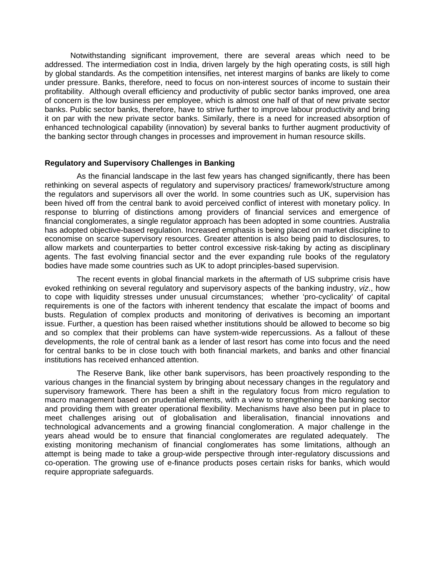Notwithstanding significant improvement, there are several areas which need to be addressed. The intermediation cost in India, driven largely by the high operating costs, is still high by global standards. As the competition intensifies, net interest margins of banks are likely to come under pressure. Banks, therefore, need to focus on non-interest sources of income to sustain their profitability. Although overall efficiency and productivity of public sector banks improved, one area of concern is the low business per employee, which is almost one half of that of new private sector banks. Public sector banks, therefore, have to strive further to improve labour productivity and bring it on par with the new private sector banks. Similarly, there is a need for increased absorption of enhanced technological capability (innovation) by several banks to further augment productivity of the banking sector through changes in processes and improvement in human resource skills.

### **Regulatory and Supervisory Challenges in Banking**

 As the financial landscape in the last few years has changed significantly, there has been rethinking on several aspects of regulatory and supervisory practices/ framework/structure among the regulators and supervisors all over the world. In some countries such as UK, supervision has been hived off from the central bank to avoid perceived conflict of interest with monetary policy. In response to blurring of distinctions among providers of financial services and emergence of financial conglomerates, a single regulator approach has been adopted in some countries. Australia has adopted objective-based regulation. Increased emphasis is being placed on market discipline to economise on scarce supervisory resources. Greater attention is also being paid to disclosures, to allow markets and counterparties to better control excessive risk-taking by acting as disciplinary agents. The fast evolving financial sector and the ever expanding rule books of the regulatory bodies have made some countries such as UK to adopt principles-based supervision.

The recent events in global financial markets in the aftermath of US subprime crisis have evoked rethinking on several regulatory and supervisory aspects of the banking industry, *viz*., how to cope with liquidity stresses under unusual circumstances; whether 'pro-cyclicality' of capital requirements is one of the factors with inherent tendency that escalate the impact of booms and busts. Regulation of complex products and monitoring of derivatives is becoming an important issue. Further, a question has been raised whether institutions should be allowed to become so big and so complex that their problems can have system-wide repercussions. As a fallout of these developments, the role of central bank as a lender of last resort has come into focus and the need for central banks to be in close touch with both financial markets, and banks and other financial institutions has received enhanced attention.

 The Reserve Bank, like other bank supervisors, has been proactively responding to the various changes in the financial system by bringing about necessary changes in the regulatory and supervisory framework. There has been a shift in the regulatory focus from micro regulation to macro management based on prudential elements, with a view to strengthening the banking sector and providing them with greater operational flexibility. Mechanisms have also been put in place to meet challenges arising out of globalisation and liberalisation, financial innovations and technological advancements and a growing financial conglomeration. A major challenge in the years ahead would be to ensure that financial conglomerates are regulated adequately. The existing monitoring mechanism of financial conglomerates has some limitations, although an attempt is being made to take a group-wide perspective through inter-regulatory discussions and co-operation. The growing use of e-finance products poses certain risks for banks, which would require appropriate safeguards.